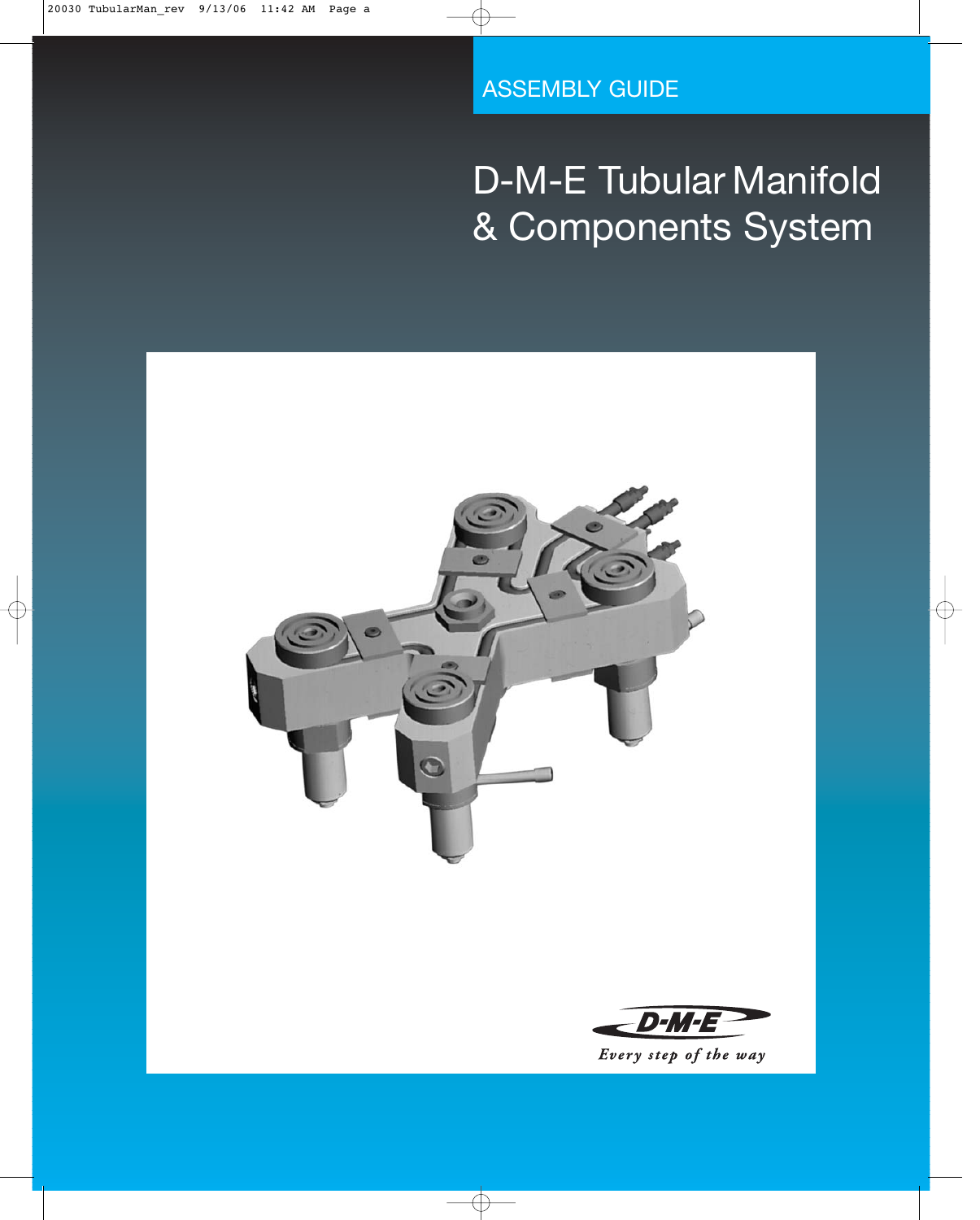ASSEMBLY GUIDE

# D-M-E Tubular Manifold & Components System

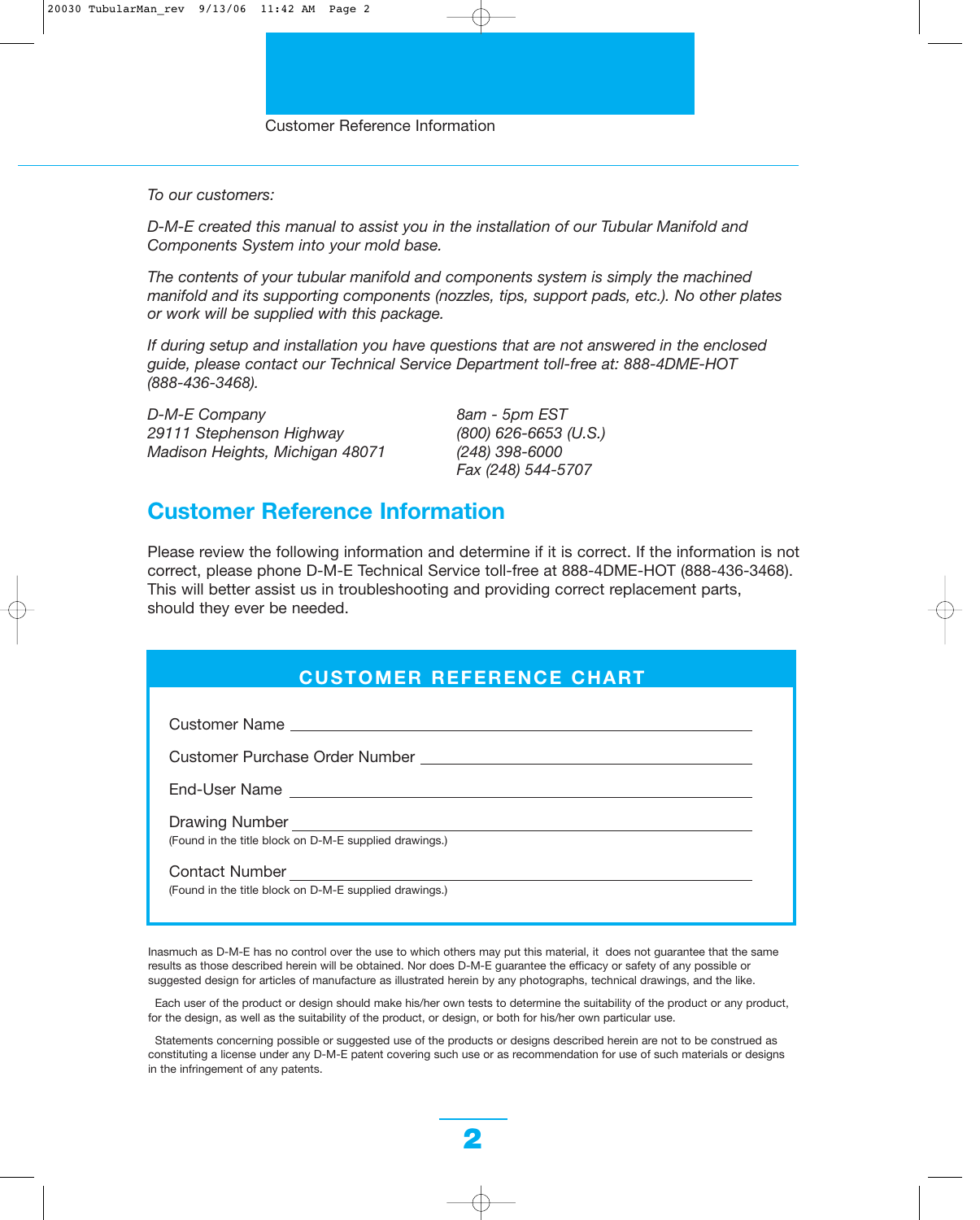*To our customers:*

*D-M-E created this manual to assist you in the installation of our Tubular Manifold and Components System into your mold base.*

*The contents of your tubular manifold and components system is simply the machined manifold and its supporting components (nozzles, tips, support pads, etc.). No other plates or work will be supplied with this package.*

*If during setup and installation you have questions that are not answered in the enclosed guide, please contact our Technical Service Department toll-free at: 888-4DME-HOT (888-436-3468).*

*D-M-E Company 8am - 5pm EST 29111 Stephenson Highway (800) 626-6653 (U.S.) Madison Heights, Michigan 48071 (248) 398-6000*

*Fax (248) 544-5707*

### **Customer Reference Information**

Please review the following information and determine if it is correct. If the information is not correct, please phone D-M-E Technical Service toll-free at 888-4DME-HOT (888-436-3468). This will better assist us in troubleshooting and providing correct replacement parts, should they ever be needed.

|  |  |  | <b>CUSTOMER REFERENCE CHART</b> |
|--|--|--|---------------------------------|
|--|--|--|---------------------------------|

Customer Name

Customer Purchase Order Number

End-User Name

Drawing Number (Found in the title block on D-M-E supplied drawings.)

Contact Number

(Found in the title block on D-M-E supplied drawings.)

Inasmuch as D-M-E has no control over the use to which others may put this material, it does not guarantee that the same results as those described herein will be obtained. Nor does D-M-E guarantee the efficacy or safety of any possible or suggested design for articles of manufacture as illustrated herein by any photographs, technical drawings, and the like.

Each user of the product or design should make his/her own tests to determine the suitability of the product or any product, for the design, as well as the suitability of the product, or design, or both for his/her own particular use.

Statements concerning possible or suggested use of the products or designs described herein are not to be construed as constituting a license under any D-M-E patent covering such use or as recommendation for use of such materials or designs in the infringement of any patents.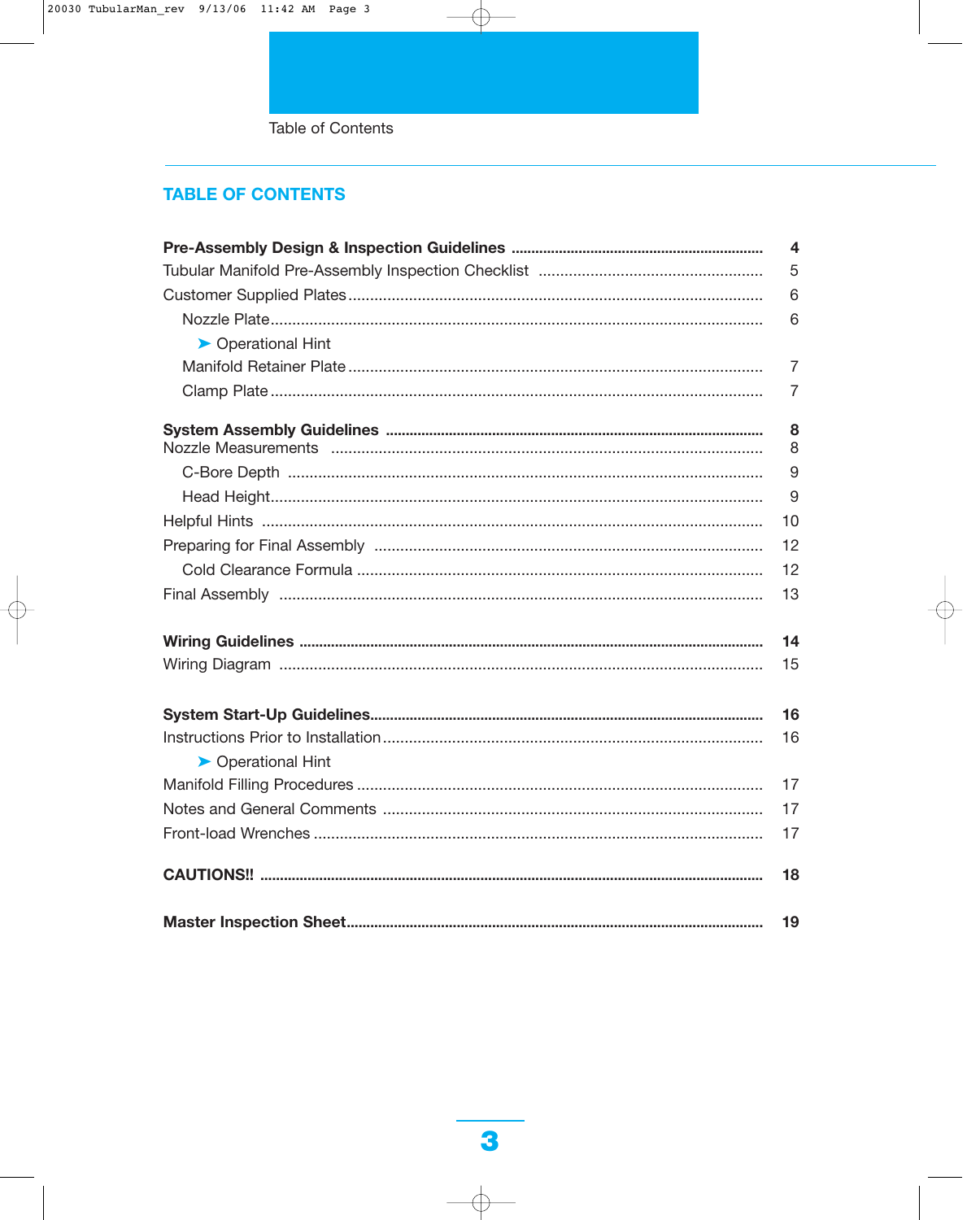Table of Contents

### **TABLE OF CONTENTS**

|                    | $\overline{\mathbf{4}}$ |
|--------------------|-------------------------|
|                    | 5                       |
|                    | 6                       |
|                    | 6                       |
| ▶ Operational Hint |                         |
|                    | $\overline{7}$          |
|                    | 7                       |
|                    | 8                       |
|                    | 8                       |
|                    | 9                       |
|                    | 9                       |
|                    | 10                      |
|                    | 12                      |
|                    | 12                      |
|                    | 13                      |
|                    | 14                      |
|                    | 15                      |
|                    | 16                      |
|                    | 16                      |
| ▶ Operational Hint |                         |
|                    | 17                      |
|                    | 17                      |
|                    | 17                      |
|                    | 18                      |
|                    | 19                      |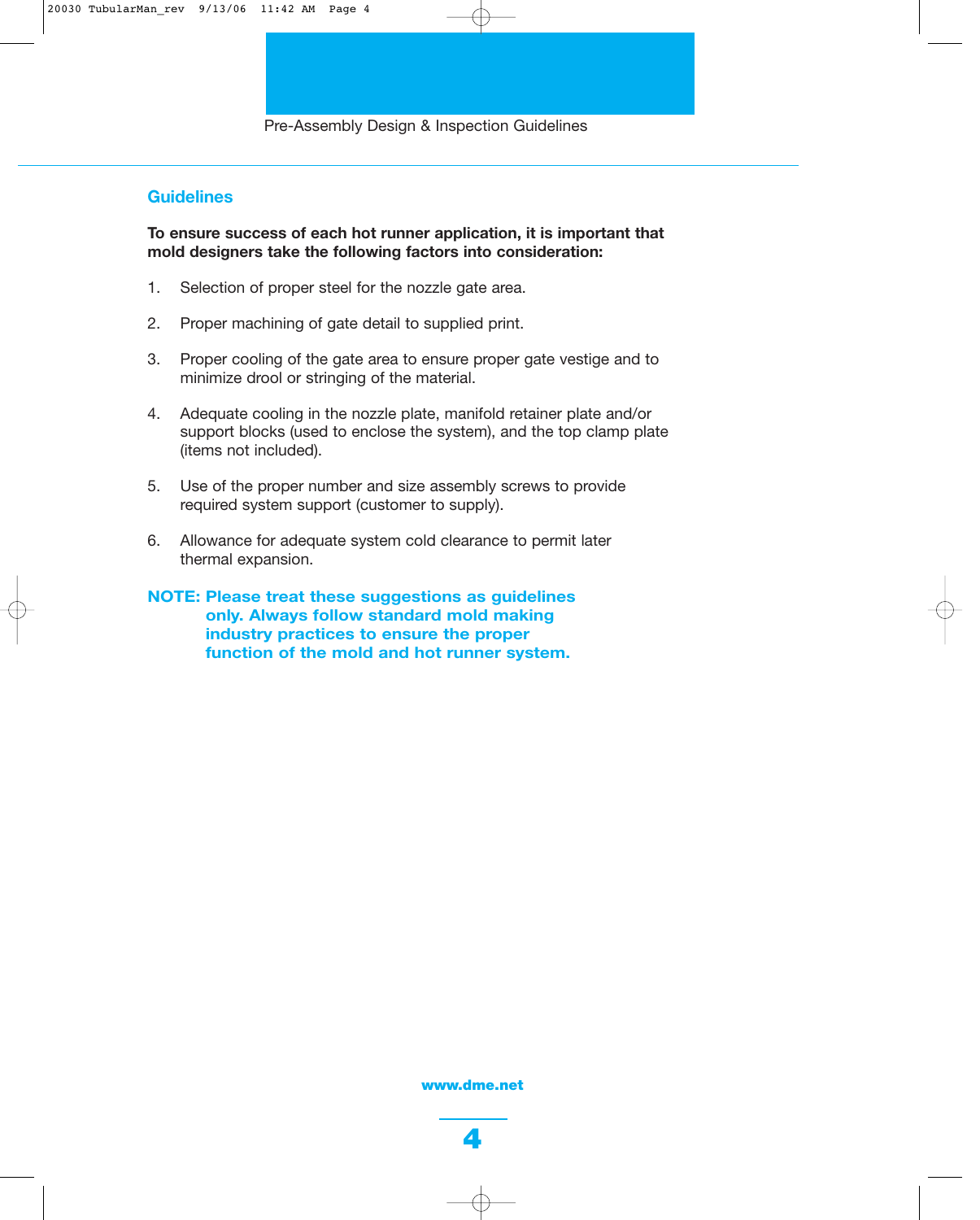### **Guidelines**

**To ensure success of each hot runner application, it is important that mold designers take the following factors into consideration:**

- 1. Selection of proper steel for the nozzle gate area.
- 2. Proper machining of gate detail to supplied print.
- 3. Proper cooling of the gate area to ensure proper gate vestige and to minimize drool or stringing of the material.
- 4. Adequate cooling in the nozzle plate, manifold retainer plate and/or support blocks (used to enclose the system), and the top clamp plate (items not included).
- 5. Use of the proper number and size assembly screws to provide required system support (customer to supply).
- 6. Allowance for adequate system cold clearance to permit later thermal expansion.
- **NOTE: Please treat these suggestions as guidelines only. Always follow standard mold making industry practices to ensure the proper function of the mold and hot runner system.**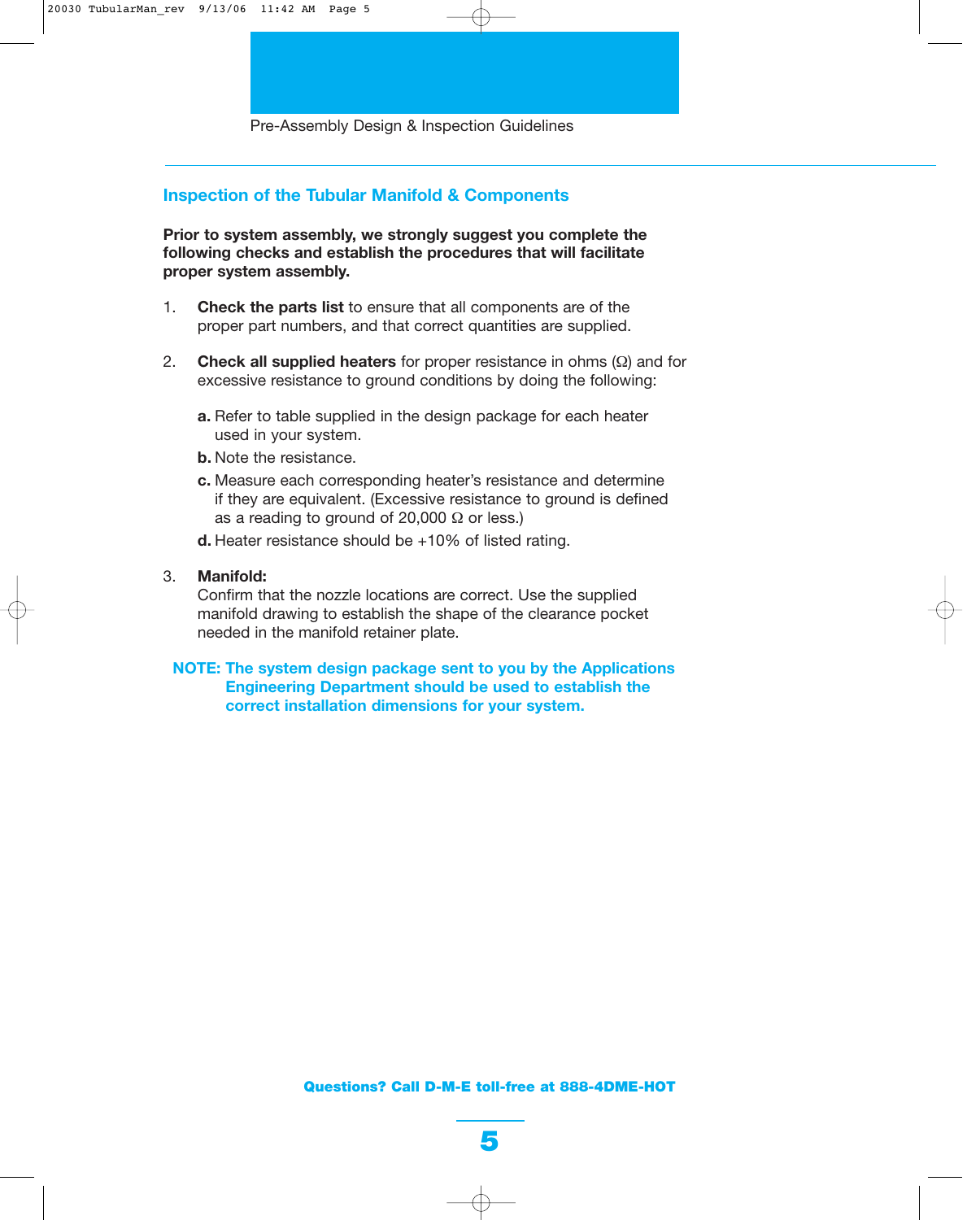### **Inspection of the Tubular Manifold & Components**

**Prior to system assembly, we strongly suggest you complete the following checks and establish the procedures that will facilitate proper system assembly.** 

- 1. **Check the parts list** to ensure that all components are of the proper part numbers, and that correct quantities are supplied.
- 2. **Check all supplied heaters** for proper resistance in ohms (Ω) and for excessive resistance to ground conditions by doing the following:
	- **a.** Refer to table supplied in the design package for each heater used in your system.
	- **b.** Note the resistance.
	- **c.** Measure each corresponding heater's resistance and determine if they are equivalent. (Excessive resistance to ground is defined as a reading to ground of 20,000  $\Omega$  or less.)
	- **d.** Heater resistance should be +10% of listed rating.
- 3. **Manifold:**

Confirm that the nozzle locations are correct. Use the supplied manifold drawing to establish the shape of the clearance pocket needed in the manifold retainer plate.

### **NOTE: The system design package sent to you by the Applications Engineering Department should be used to establish the correct installation dimensions for your system.**

**Questions? Call D-M-E toll-free at 888-4DME-HOT**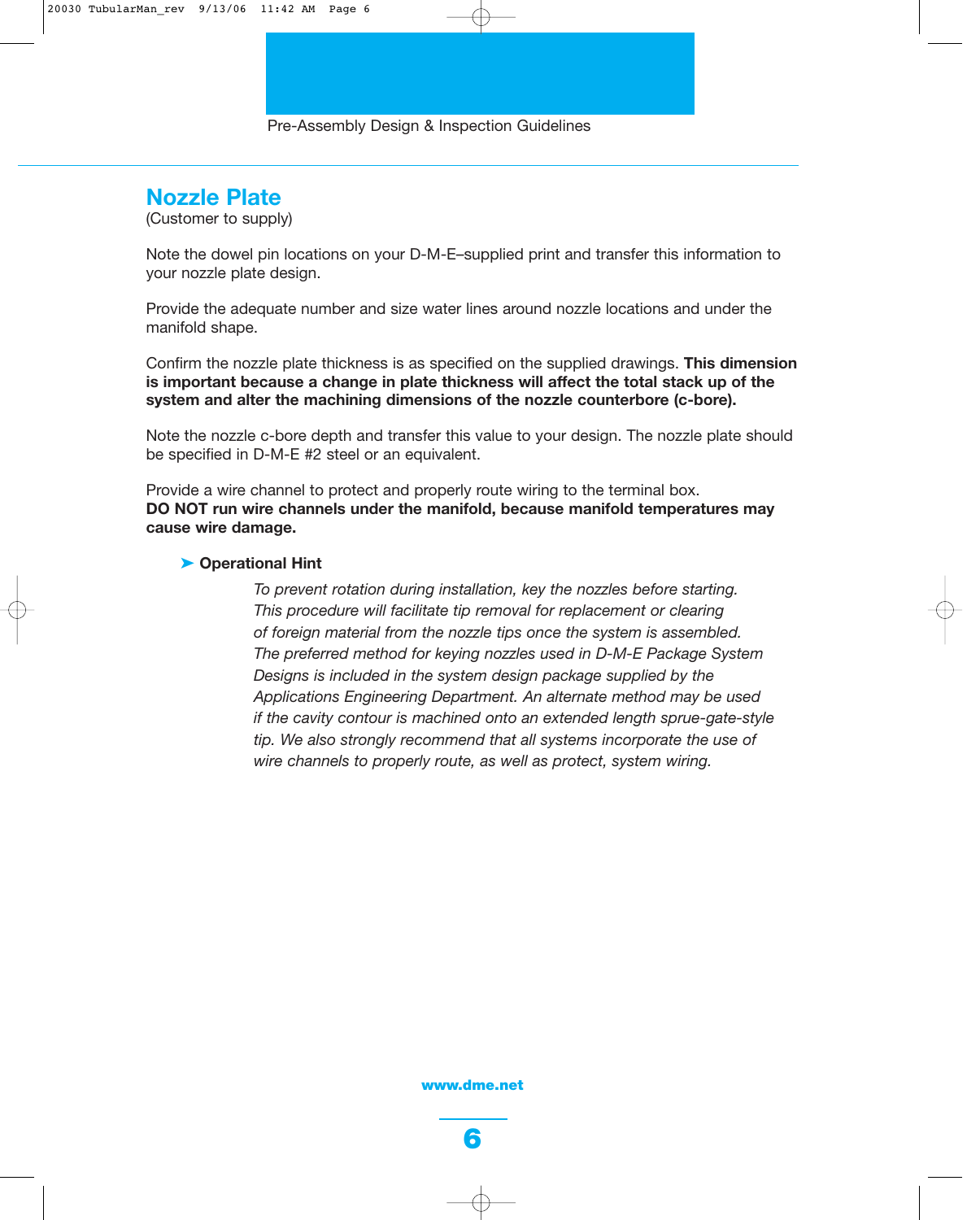### **Nozzle Plate**

(Customer to supply)

Note the dowel pin locations on your D-M-E–supplied print and transfer this information to your nozzle plate design.

Provide the adequate number and size water lines around nozzle locations and under the manifold shape.

Confirm the nozzle plate thickness is as specified on the supplied drawings. **This dimension is important because a change in plate thickness will affect the total stack up of the system and alter the machining dimensions of the nozzle counterbore (c-bore).**

Note the nozzle c-bore depth and transfer this value to your design. The nozzle plate should be specified in D-M-E #2 steel or an equivalent.

Provide a wire channel to protect and properly route wiring to the terminal box. **DO NOT run wire channels under the manifold, because manifold temperatures may cause wire damage.**

#### ➤ **Operational Hint**

*To prevent rotation during installation, key the nozzles before starting. This procedure will facilitate tip removal for replacement or clearing of foreign material from the nozzle tips once the system is assembled. The preferred method for keying nozzles used in D-M-E Package System Designs is included in the system design package supplied by the Applications Engineering Department. An alternate method may be used if the cavity contour is machined onto an extended length sprue-gate-style tip. We also strongly recommend that all systems incorporate the use of wire channels to properly route, as well as protect, system wiring.*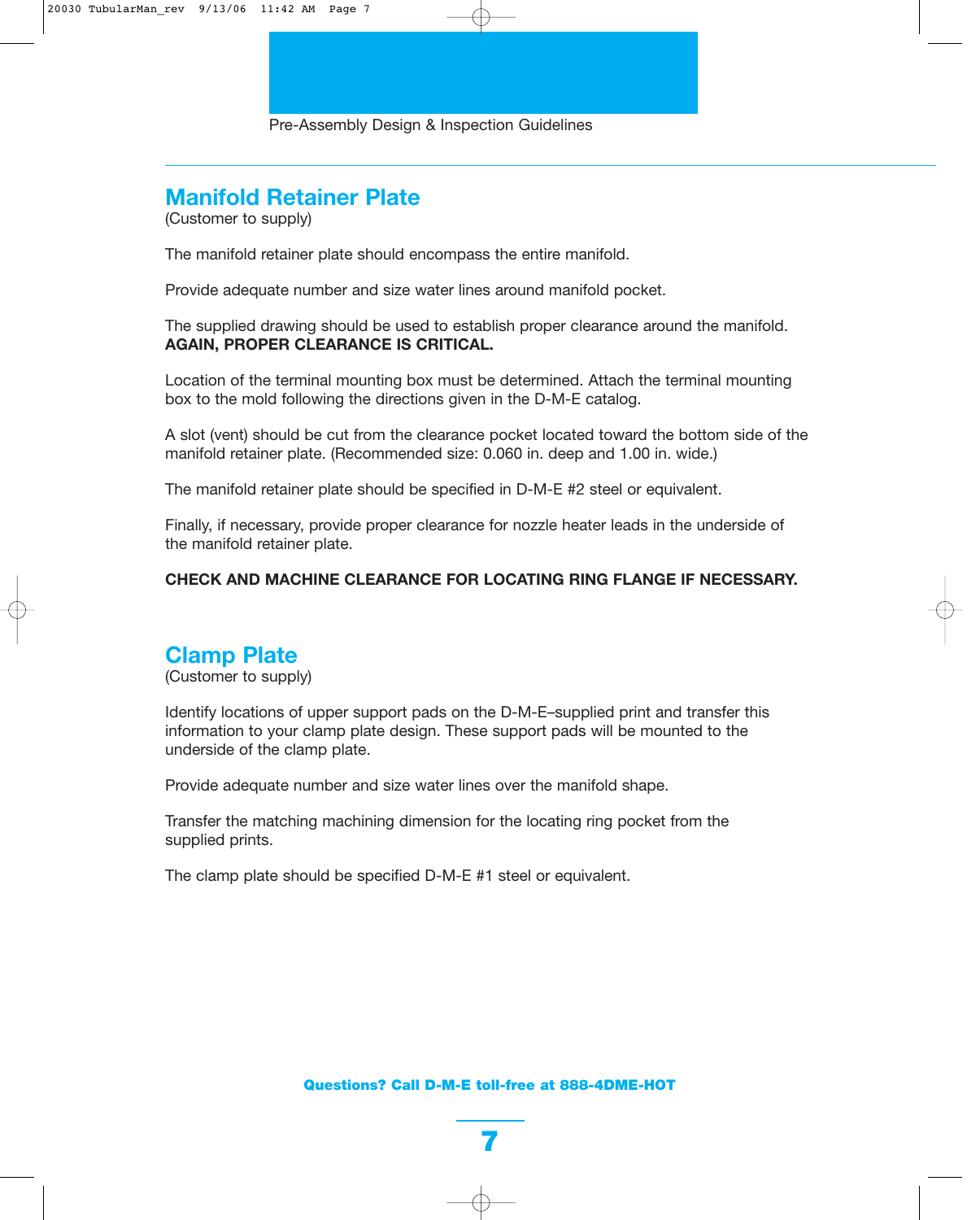# **Manifold Retainer Plate**

(Customer to supply)

The manifold retainer plate should encompass the entire manifold.

Provide adequate number and size water lines around manifold pocket.

The supplied drawing should be used to establish proper clearance around the manifold. **AGAIN, PROPER CLEARANCE IS CRITICAL.**

Location of the terminal mounting box must be determined. Attach the terminal mounting box to the mold following the directions given in the D-M-E catalog.

A slot (vent) should be cut from the clearance pocket located toward the bottom side of the manifold retainer plate. (Recommended size: 0.060 in. deep and 1.00 in. wide.)

The manifold retainer plate should be specified in D-M-E #2 steel or equivalent.

Finally, if necessary, provide proper clearance for nozzle heater leads in the underside of the manifold retainer plate.

### **CHECK AND MACHINE CLEARANCE FOR LOCATING RING FLANGE IF NECESSARY.**

### **Clamp Plate**

(Customer to supply)

Identify locations of upper support pads on the D-M-E–supplied print and transfer this information to your clamp plate design. These support pads will be mounted to the underside of the clamp plate.

Provide adequate number and size water lines over the manifold shape.

Transfer the matching machining dimension for the locating ring pocket from the supplied prints.

The clamp plate should be specified D-M-E #1 steel or equivalent.

**Questions? Call D-M-E toll-free at 888-4DME-HOT**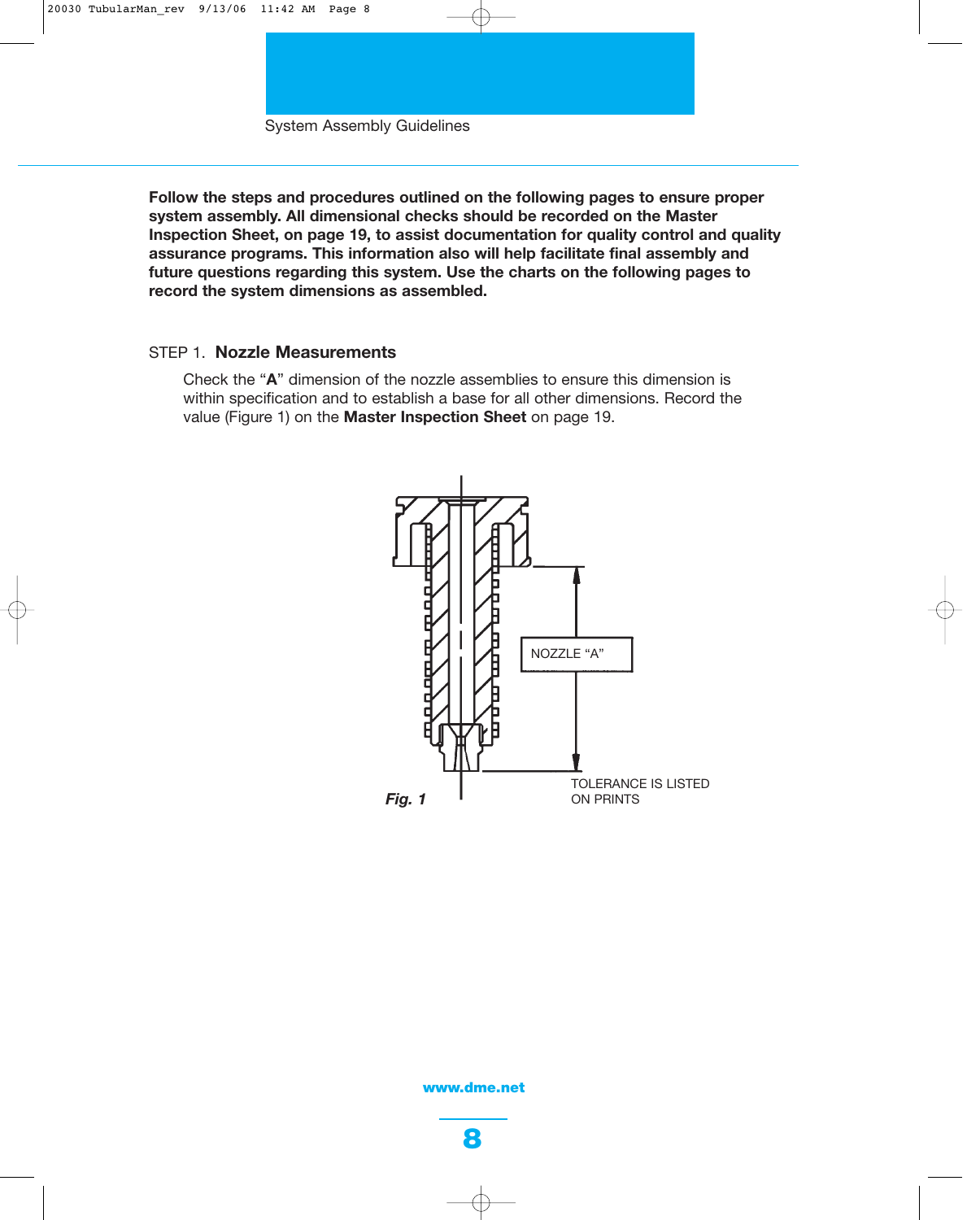System Assembly Guidelines

**Follow the steps and procedures outlined on the following pages to ensure proper system assembly. All dimensional checks should be recorded on the Master Inspection Sheet, on page 19, to assist documentation for quality control and quality assurance programs. This information also will help facilitate final assembly and future questions regarding this system. Use the charts on the following pages to record the system dimensions as assembled.**

### STEP 1. **Nozzle Measurements**

Check the "**A**" dimension of the nozzle assemblies to ensure this dimension is within specification and to establish a base for all other dimensions. Record the value (Figure 1) on the **Master Inspection Sheet** on page 19.

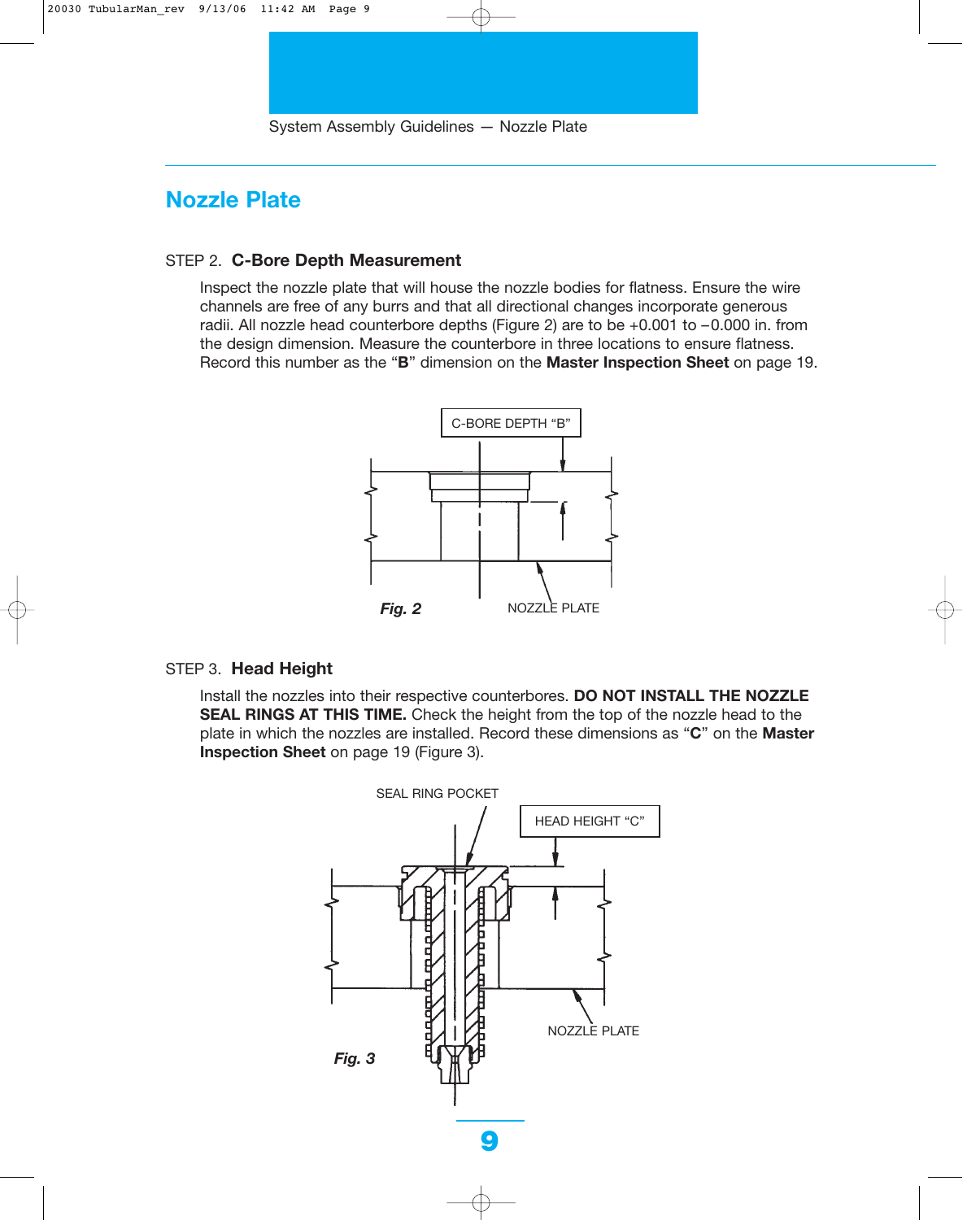### **Nozzle Plate**

#### STEP 2. **C-Bore Depth Measurement**

Inspect the nozzle plate that will house the nozzle bodies for flatness. Ensure the wire channels are free of any burrs and that all directional changes incorporate generous radii. All nozzle head counterbore depths (Figure 2) are to be +0.001 to –0.000 in. from the design dimension. Measure the counterbore in three locations to ensure flatness. Record this number as the "**B**" dimension on the **Master Inspection Sheet** on page 19.



### STEP 3. **Head Height**

Install the nozzles into their respective counterbores. **DO NOT INSTALL THE NOZZLE SEAL RINGS AT THIS TIME.** Check the height from the top of the nozzle head to the plate in which the nozzles are installed. Record these dimensions as "**C**" on the **Master Inspection Sheet** on page 19 (Figure 3).

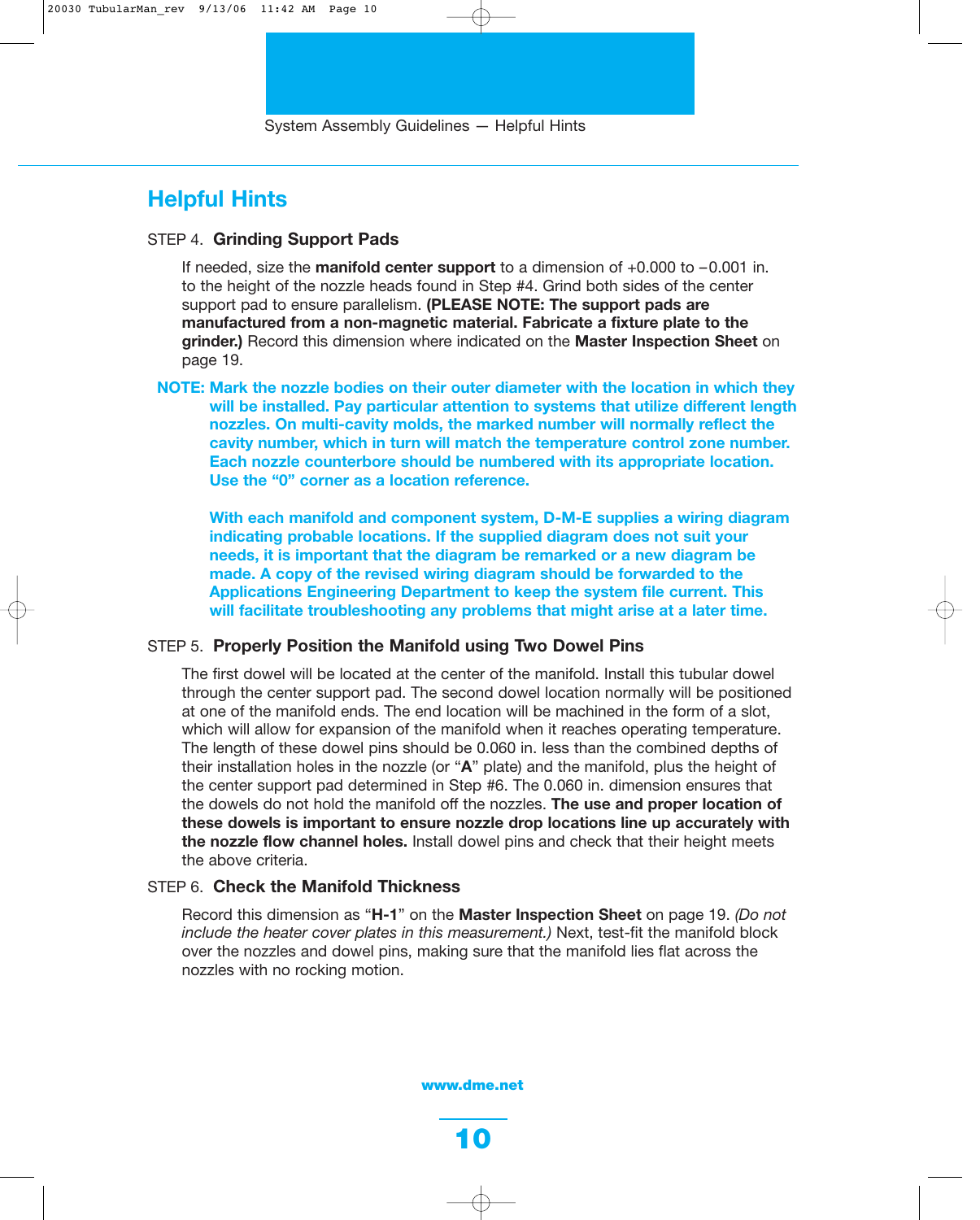### **Helpful Hints**

### STEP 4. **Grinding Support Pads**

If needed, size the **manifold center support** to a dimension of +0.000 to –0.001 in. to the height of the nozzle heads found in Step #4. Grind both sides of the center support pad to ensure parallelism. **(PLEASE NOTE: The support pads are manufactured from a non-magnetic material. Fabricate a fixture plate to the grinder.)** Record this dimension where indicated on the **Master Inspection Sheet** on page 19.

**NOTE: Mark the nozzle bodies on their outer diameter with the location in which they will be installed. Pay particular attention to systems that utilize different length nozzles. On multi-cavity molds, the marked number will normally reflect the cavity number, which in turn will match the temperature control zone number. Each nozzle counterbore should be numbered with its appropriate location. Use the "0" corner as a location reference.**

**With each manifold and component system, D-M-E supplies a wiring diagram indicating probable locations. If the supplied diagram does not suit your needs, it is important that the diagram be remarked or a new diagram be made. A copy of the revised wiring diagram should be forwarded to the Applications Engineering Department to keep the system file current. This will facilitate troubleshooting any problems that might arise at a later time.**

### STEP 5. **Properly Position the Manifold using Two Dowel Pins**

The first dowel will be located at the center of the manifold. Install this tubular dowel through the center support pad. The second dowel location normally will be positioned at one of the manifold ends. The end location will be machined in the form of a slot, which will allow for expansion of the manifold when it reaches operating temperature. The length of these dowel pins should be 0.060 in. less than the combined depths of their installation holes in the nozzle (or "**A**" plate) and the manifold, plus the height of the center support pad determined in Step #6. The 0.060 in. dimension ensures that the dowels do not hold the manifold off the nozzles. **The use and proper location of these dowels is important to ensure nozzle drop locations line up accurately with the nozzle flow channel holes.** Install dowel pins and check that their height meets the above criteria.

#### STEP 6. **Check the Manifold Thickness**

Record this dimension as "**H-1**" on the **Master Inspection Sheet** on page 19. *(Do not include the heater cover plates in this measurement.)* Next, test-fit the manifold block over the nozzles and dowel pins, making sure that the manifold lies flat across the nozzles with no rocking motion.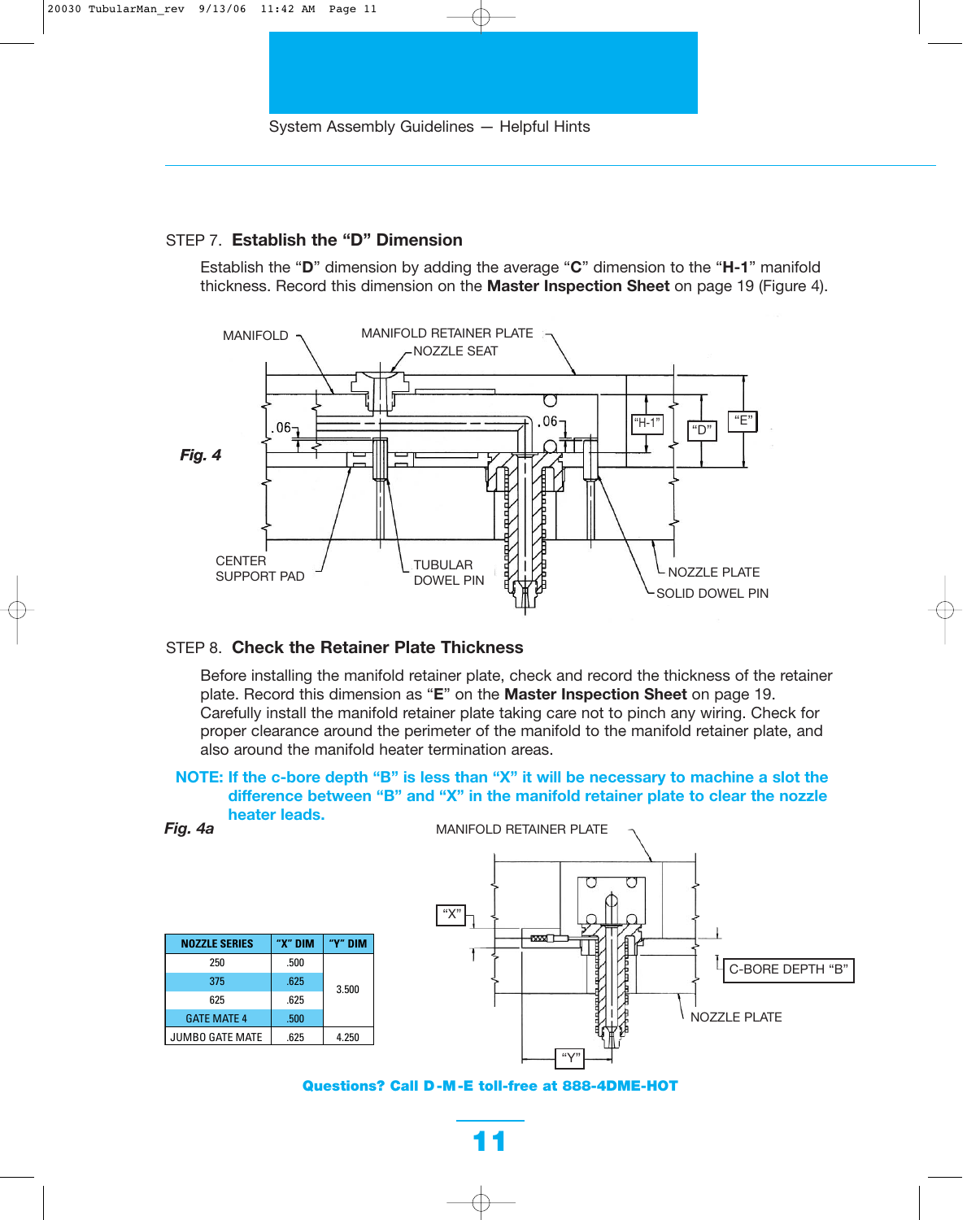### STEP 7. **Establish the "D" Dimension**

Establish the "**D**" dimension by adding the average "**C**" dimension to the "**H-1**" manifold thickness. Record this dimension on the **Master Inspection Sheet** on page 19 (Figure 4).



### STEP 8. **Check the Retainer Plate Thickness**

Before installing the manifold retainer plate, check and record the thickness of the retainer plate. Record this dimension as "**E**" on the **Master Inspection Sheet** on page 19. Carefully install the manifold retainer plate taking care not to pinch any wiring. Check for proper clearance around the perimeter of the manifold to the manifold retainer plate, and also around the manifold heater termination areas.

**NOTE: If the c-bore depth "B" is less than "X" it will be necessary to machine a slot the difference between "B" and "X" in the manifold retainer plate to clear the nozzle heater leads.**

|--|--|

| <b>NOZZLE SERIES</b>   | "X" DIM | "Y" NIM |  |  |
|------------------------|---------|---------|--|--|
| 250                    | .500    |         |  |  |
| 375                    | .625    | 3.500   |  |  |
| 625                    | .625    |         |  |  |
| <b>GATE MATE 4</b>     | .500    |         |  |  |
| <b>JUMBO GATE MATE</b> | .625    | 4.250   |  |  |



**Questions? Call D -M -E toll-free at 888-4DME-HOT**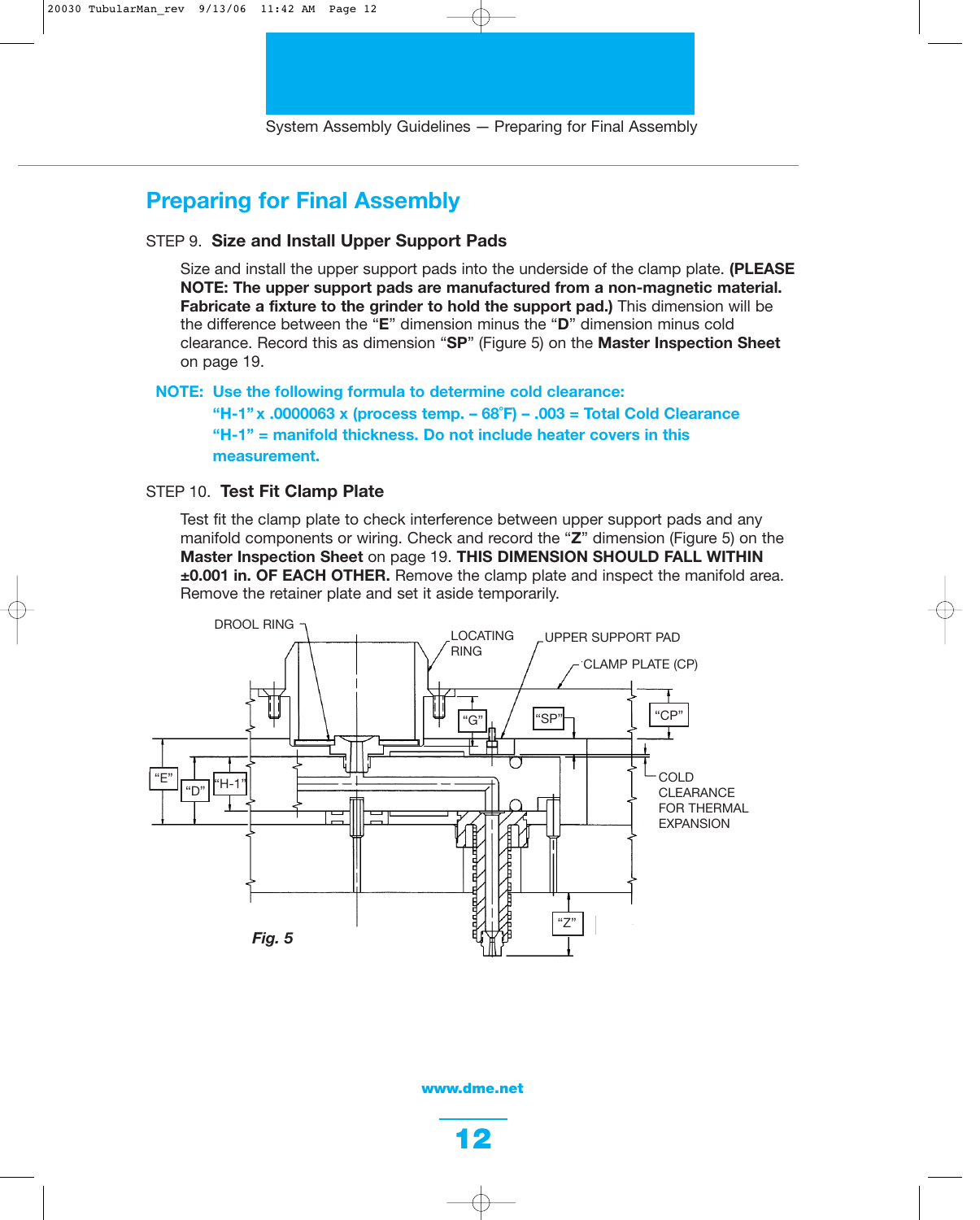# **Preparing for Final Assembly**

### STEP 9. **Size and Install Upper Support Pads**

Size and install the upper support pads into the underside of the clamp plate. **(PLEASE NOTE: The upper support pads are manufactured from a non-magnetic material. Fabricate a fixture to the grinder to hold the support pad.)** This dimension will be the difference between the "**E**" dimension minus the "**D**" dimension minus cold clearance. Record this as dimension "**SP**" (Figure 5) on the **Master Inspection Sheet** on page 19.

**NOTE: Use the following formula to determine cold clearance: "H-1" x .0000063 x (process temp. – 68˚F) – .003 = Total Cold Clearance "H-1" = manifold thickness. Do not include heater covers in this measurement.**

#### STEP 10. **Test Fit Clamp Plate**

Test fit the clamp plate to check interference between upper support pads and any manifold components or wiring. Check and record the "**Z**" dimension (Figure 5) on the **Master Inspection Sheet** on page 19. **THIS DIMENSION SHOULD FALL WITHIN ±0.001 in. OF EACH OTHER.** Remove the clamp plate and inspect the manifold area. Remove the retainer plate and set it aside temporarily.

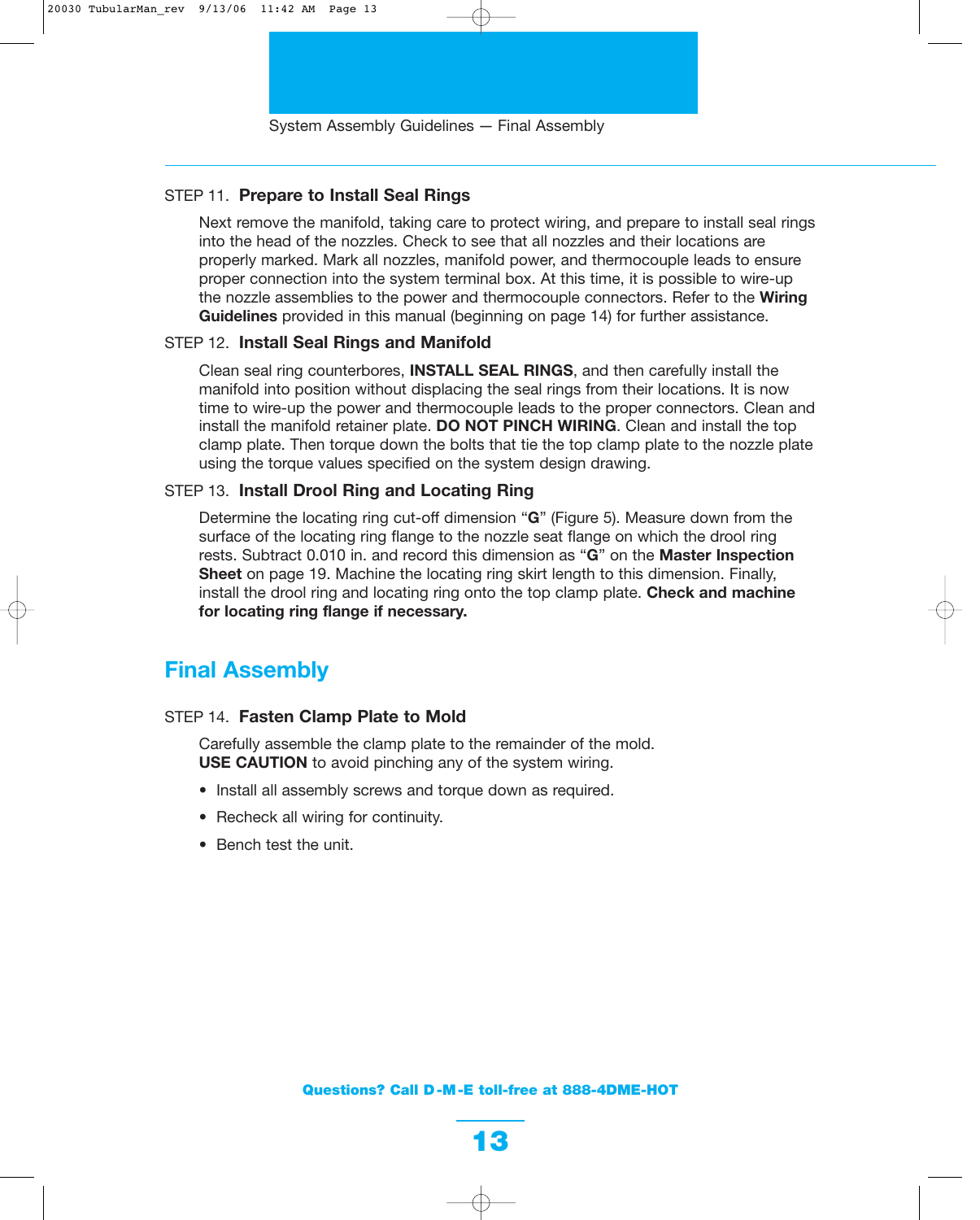### STEP 11. **Prepare to Install Seal Rings**

Next remove the manifold, taking care to protect wiring, and prepare to install seal rings into the head of the nozzles. Check to see that all nozzles and their locations are properly marked. Mark all nozzles, manifold power, and thermocouple leads to ensure proper connection into the system terminal box. At this time, it is possible to wire-up the nozzle assemblies to the power and thermocouple connectors. Refer to the **Wiring Guidelines** provided in this manual (beginning on page 14) for further assistance.

### STEP 12. **Install Seal Rings and Manifold**

Clean seal ring counterbores, **INSTALL SEAL RINGS**, and then carefully install the manifold into position without displacing the seal rings from their locations. It is now time to wire-up the power and thermocouple leads to the proper connectors. Clean and install the manifold retainer plate. **DO NOT PINCH WIRING**. Clean and install the top clamp plate. Then torque down the bolts that tie the top clamp plate to the nozzle plate using the torque values specified on the system design drawing.

### STEP 13. **Install Drool Ring and Locating Ring**

Determine the locating ring cut-off dimension "**G**" (Figure 5). Measure down from the surface of the locating ring flange to the nozzle seat flange on which the drool ring rests. Subtract 0.010 in. and record this dimension as "**G**" on the **Master Inspection Sheet** on page 19. Machine the locating ring skirt length to this dimension. Finally, install the drool ring and locating ring onto the top clamp plate. **Check and machine for locating ring flange if necessary.**

### **Final Assembly**

### STEP 14. **Fasten Clamp Plate to Mold**

Carefully assemble the clamp plate to the remainder of the mold. **USE CAUTION** to avoid pinching any of the system wiring.

- Install all assembly screws and torque down as required.
- Recheck all wiring for continuity.
- Bench test the unit.

**Questions? Call D -M -E toll-free at 888-4DME-HOT**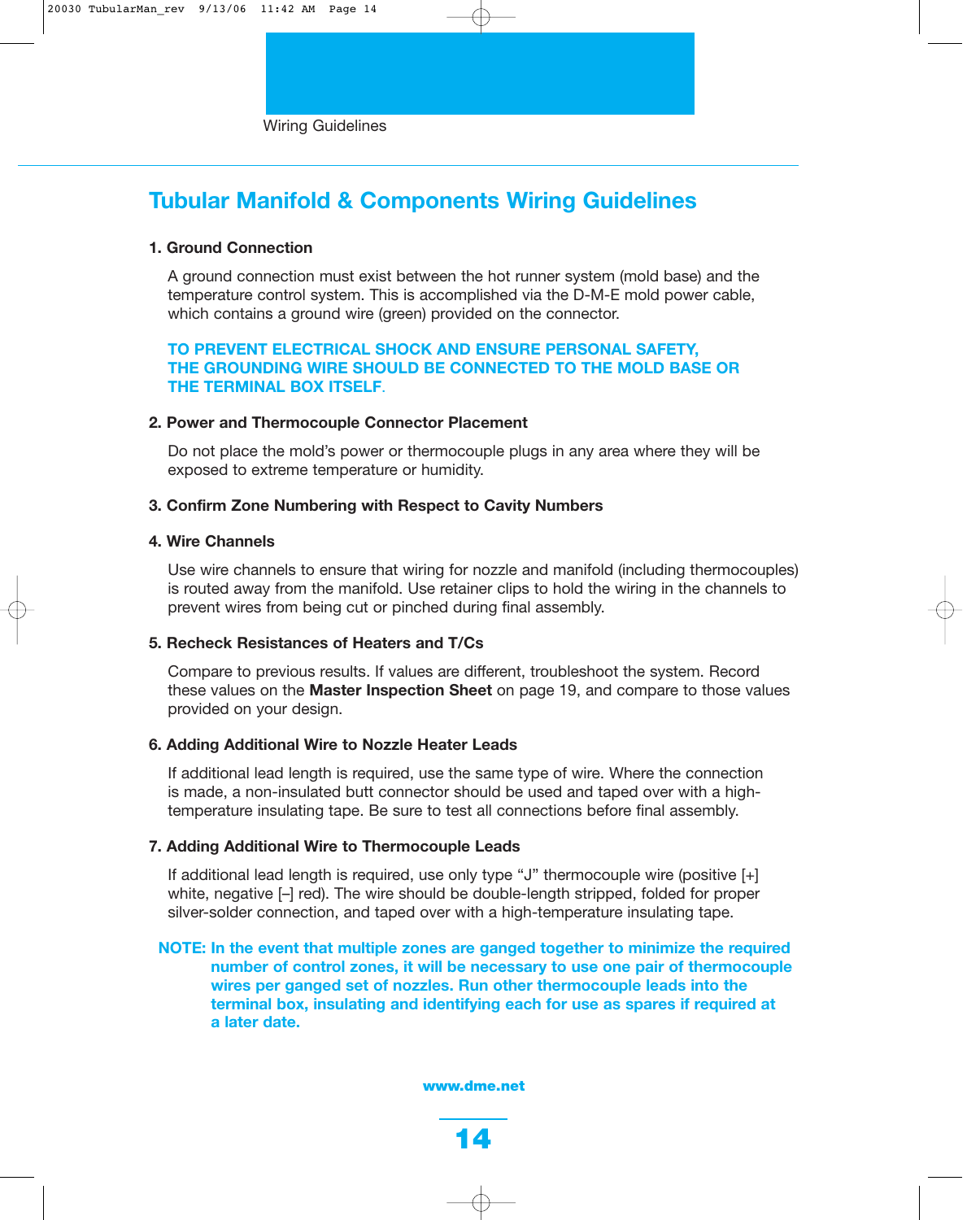# **Tubular Manifold & Components Wiring Guidelines**

### **1. Ground Connection**

A ground connection must exist between the hot runner system (mold base) and the temperature control system. This is accomplished via the D-M-E mold power cable, which contains a ground wire (green) provided on the connector.

### **TO PREVENT ELECTRICAL SHOCK AND ENSURE PERSONAL SAFETY, THE GROUNDING WIRE SHOULD BE CONNECTED TO THE MOLD BASE OR THE TERMINAL BOX ITSELF**.

#### **2. Power and Thermocouple Connector Placement**

Do not place the mold's power or thermocouple plugs in any area where they will be exposed to extreme temperature or humidity.

### **3. Confirm Zone Numbering with Respect to Cavity Numbers**

#### **4. Wire Channels**

Use wire channels to ensure that wiring for nozzle and manifold (including thermocouples) is routed away from the manifold. Use retainer clips to hold the wiring in the channels to prevent wires from being cut or pinched during final assembly.

### **5. Recheck Resistances of Heaters and T/Cs**

Compare to previous results. If values are different, troubleshoot the system. Record these values on the **Master Inspection Sheet** on page 19, and compare to those values provided on your design.

### **6. Adding Additional Wire to Nozzle Heater Leads**

If additional lead length is required, use the same type of wire. Where the connection is made, a non-insulated butt connector should be used and taped over with a hightemperature insulating tape. Be sure to test all connections before final assembly.

### **7. Adding Additional Wire to Thermocouple Leads**

If additional lead length is required, use only type "J" thermocouple wire (positive [+] white, negative [–] red). The wire should be double-length stripped, folded for proper silver-solder connection, and taped over with a high-temperature insulating tape.

### **NOTE: In the event that multiple zones are ganged together to minimize the required number of control zones, it will be necessary to use one pair of thermocouple wires per ganged set of nozzles. Run other thermocouple leads into the terminal box, insulating and identifying each for use as spares if required at a later date.**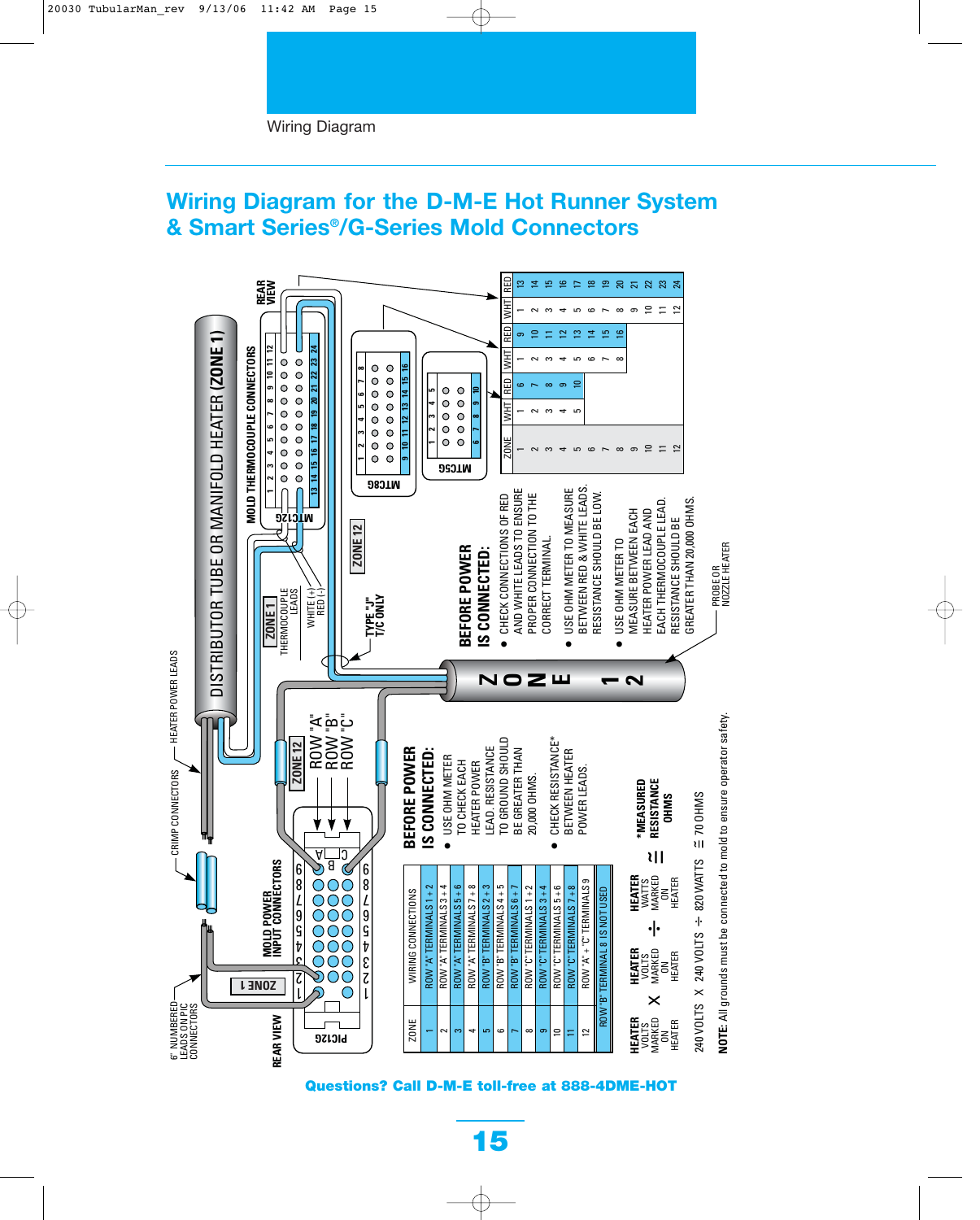#### Wiring Diagram

## **Wiring Diagram for the D-M-E Hot Runner System & Smart Series®/G-Series Mold Connectors**



**Questions? Call D-M-E toll-free at 888-4DME-HOT**

**15**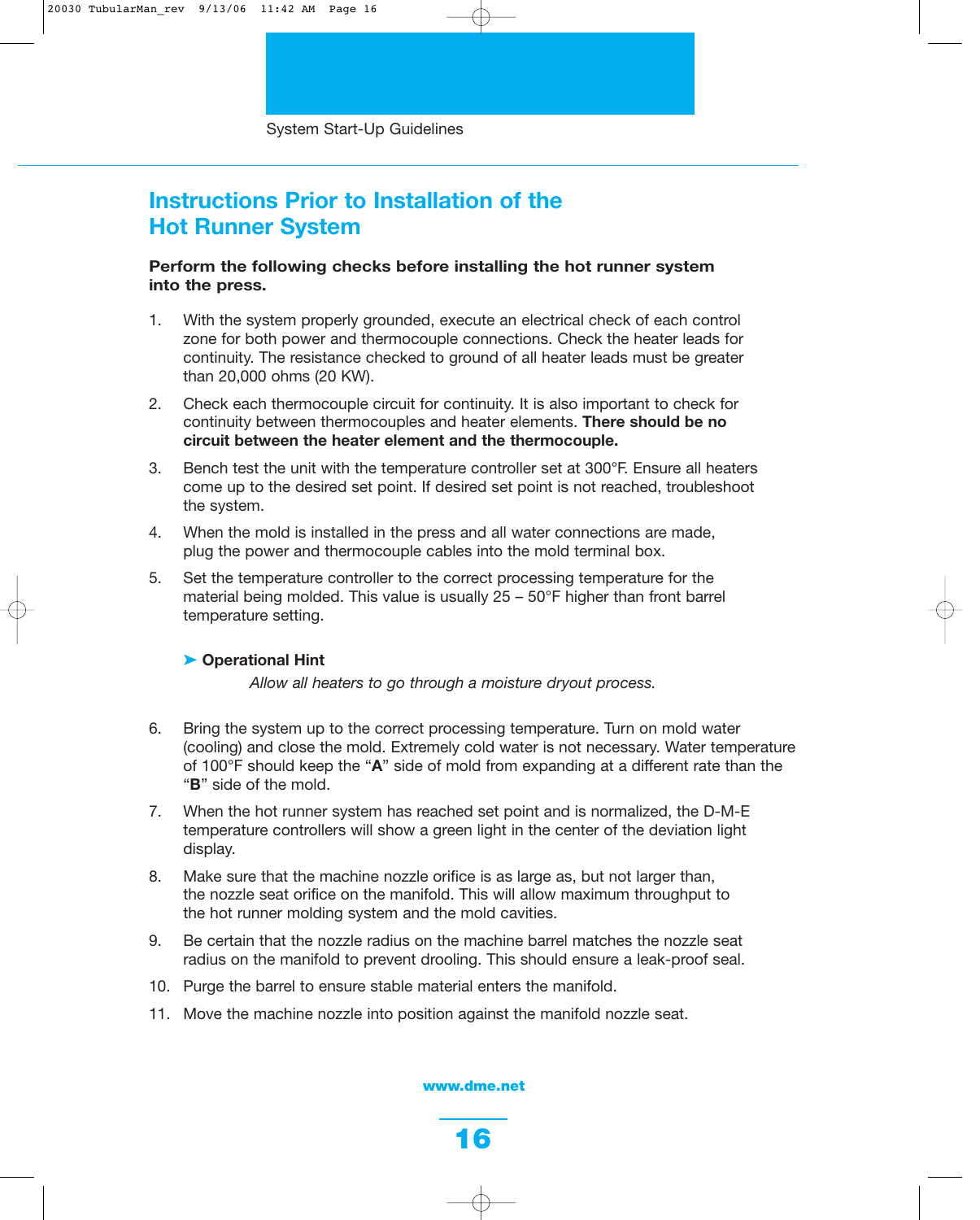## **Instructions Prior to Installation of the Hot Runner System**

### **Perform the following checks before installing the hot runner system into the press.**

- 1. With the system properly grounded, execute an electrical check of each control zone for both power and thermocouple connections. Check the heater leads for continuity. The resistance checked to ground of all heater leads must be greater than 20,000 ohms (20 KW).
- 2. Check each thermocouple circuit for continuity. It is also important to check for continuity between thermocouples and heater elements. **There should be no circuit between the heater element and the thermocouple.**
- 3. Bench test the unit with the temperature controller set at 300°F. Ensure all heaters come up to the desired set point. If desired set point is not reached, troubleshoot the system.
- 4. When the mold is installed in the press and all water connections are made, plug the power and thermocouple cables into the mold terminal box.
- 5. Set the temperature controller to the correct processing temperature for the material being molded. This value is usually 25 – 50°F higher than front barrel temperature setting.

### ➤ **Operational Hint**

*Allow all heaters to go through a moisture dryout process.*

- 6. Bring the system up to the correct processing temperature. Turn on mold water (cooling) and close the mold. Extremely cold water is not necessary. Water temperature of 100°F should keep the "**A**" side of mold from expanding at a different rate than the "**B**" side of the mold.
- 7. When the hot runner system has reached set point and is normalized, the D-M-E temperature controllers will show a green light in the center of the deviation light display.
- 8. Make sure that the machine nozzle orifice is as large as, but not larger than, the nozzle seat orifice on the manifold. This will allow maximum throughput to the hot runner molding system and the mold cavities.
- 9. Be certain that the nozzle radius on the machine barrel matches the nozzle seat radius on the manifold to prevent drooling. This should ensure a leak-proof seal.
- 10. Purge the barrel to ensure stable material enters the manifold.
- 11. Move the machine nozzle into position against the manifold nozzle seat.

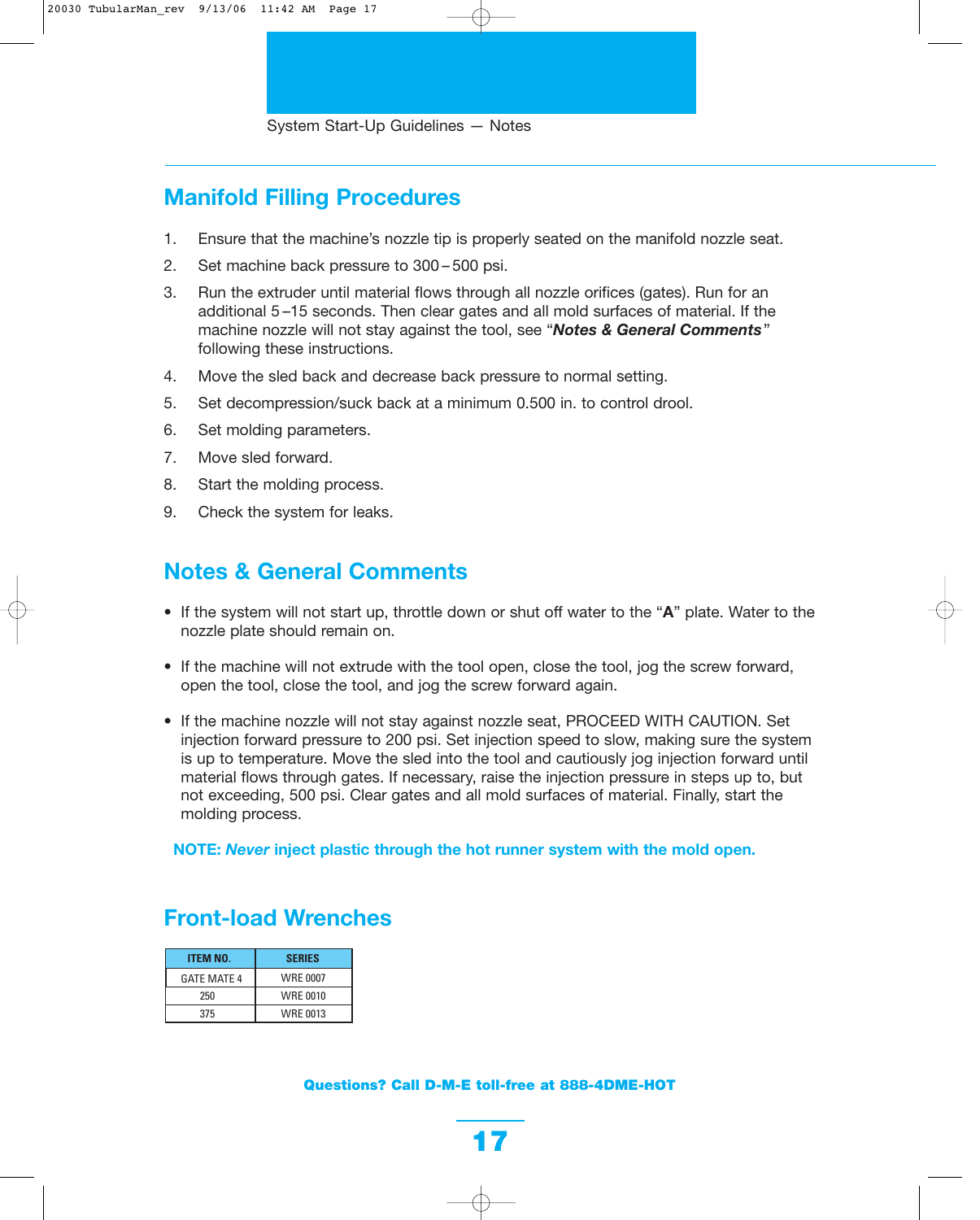# **Manifold Filling Procedures**

- 1. Ensure that the machine's nozzle tip is properly seated on the manifold nozzle seat.
- 2. Set machine back pressure to 300 500 psi.
- 3. Run the extruder until material flows through all nozzle orifices (gates). Run for an additional 5 –15 seconds. Then clear gates and all mold surfaces of material. If the machine nozzle will not stay against the tool, see "*Notes & General Comments*" following these instructions.
- 4. Move the sled back and decrease back pressure to normal setting.
- 5. Set decompression/suck back at a minimum 0.500 in. to control drool.
- 6. Set molding parameters.
- 7. Move sled forward.
- 8. Start the molding process.
- 9. Check the system for leaks.

## **Notes & General Comments**

- If the system will not start up, throttle down or shut off water to the "**A**" plate. Water to the nozzle plate should remain on.
- If the machine will not extrude with the tool open, close the tool, jog the screw forward, open the tool, close the tool, and jog the screw forward again.
- If the machine nozzle will not stay against nozzle seat, PROCEED WITH CAUTION. Set injection forward pressure to 200 psi. Set injection speed to slow, making sure the system is up to temperature. Move the sled into the tool and cautiously jog injection forward until material flows through gates. If necessary, raise the injection pressure in steps up to, but not exceeding, 500 psi. Clear gates and all mold surfaces of material. Finally, start the molding process.

**NOTE:** *Never* **inject plastic through the hot runner system with the mold open.**

# **Front-load Wrenches**

| <b>ITEM NO.</b>    | <b>SERIES</b>   |
|--------------------|-----------------|
| <b>GATF MATF 4</b> | <b>WRE 0007</b> |
| 250                | <b>WRE 0010</b> |
| 375                | WRF 0013        |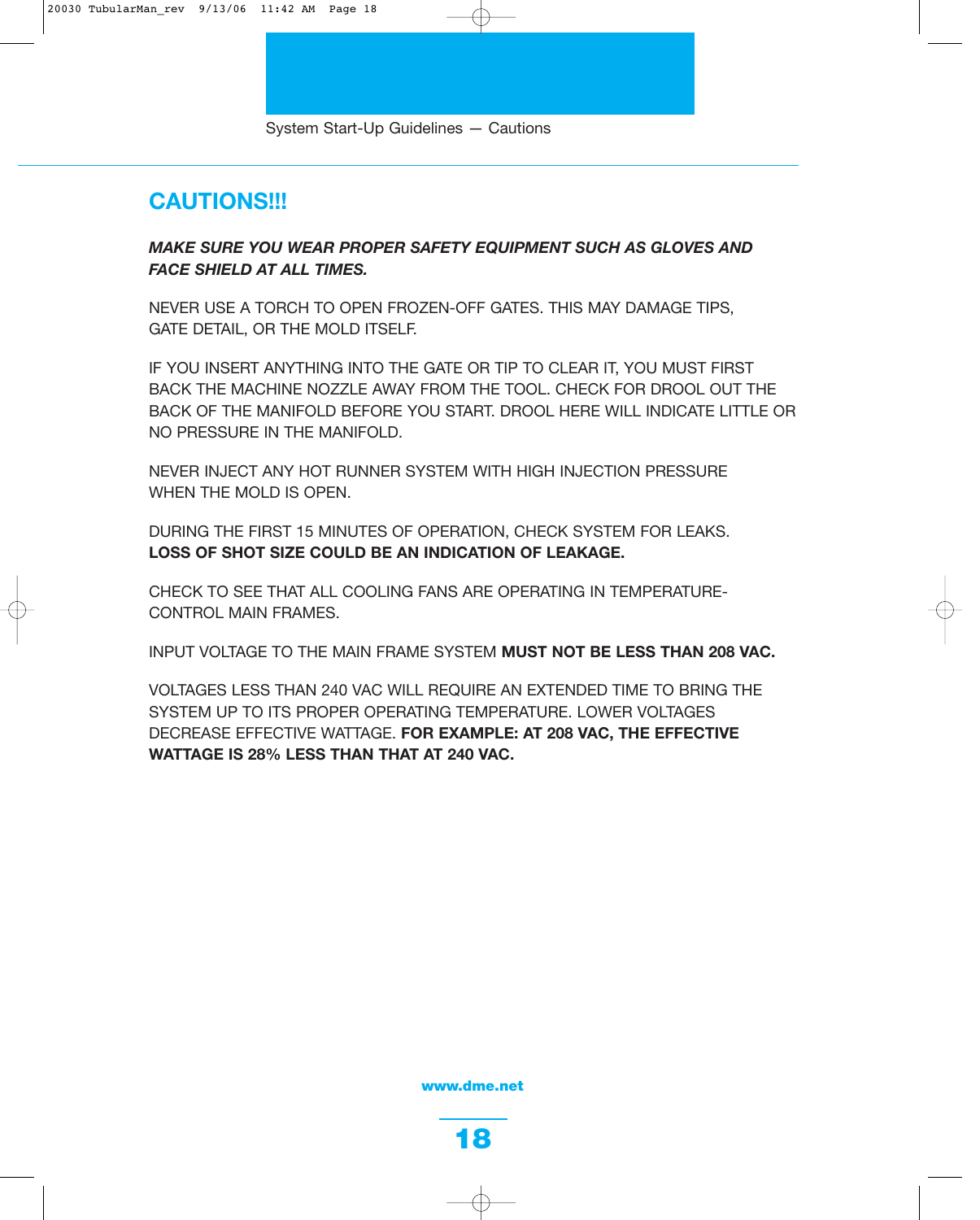## **CAUTIONS!!!**

### *MAKE SURE YOU WEAR PROPER SAFETY EQUIPMENT SUCH AS GLOVES AND FACE SHIELD AT ALL TIMES.*

NEVER USE A TORCH TO OPEN FROZEN-OFF GATES. THIS MAY DAMAGE TIPS, GATE DETAIL, OR THE MOLD ITSELF.

IF YOU INSERT ANYTHING INTO THE GATE OR TIP TO CLEAR IT, YOU MUST FIRST BACK THE MACHINE NOZZLE AWAY FROM THE TOOL. CHECK FOR DROOL OUT THE BACK OF THE MANIFOLD BEFORE YOU START. DROOL HERE WILL INDICATE LITTLE OR NO PRESSURE IN THE MANIFOLD.

NEVER INJECT ANY HOT RUNNER SYSTEM WITH HIGH INJECTION PRESSURE WHEN THE MOLD IS OPEN.

DURING THE FIRST 15 MINUTES OF OPERATION, CHECK SYSTEM FOR LEAKS. **LOSS OF SHOT SIZE COULD BE AN INDICATION OF LEAKAGE.**

CHECK TO SEE THAT ALL COOLING FANS ARE OPERATING IN TEMPERATURE-CONTROL MAIN FRAMES.

INPUT VOLTAGE TO THE MAIN FRAME SYSTEM **MUST NOT BE LESS THAN 208 VAC.**

VOLTAGES LESS THAN 240 VAC WILL REQUIRE AN EXTENDED TIME TO BRING THE SYSTEM UP TO ITS PROPER OPERATING TEMPERATURE. LOWER VOLTAGES DECREASE EFFECTIVE WATTAGE. **FOR EXAMPLE: AT 208 VAC, THE EFFECTIVE WATTAGE IS 28% LESS THAN THAT AT 240 VAC.**

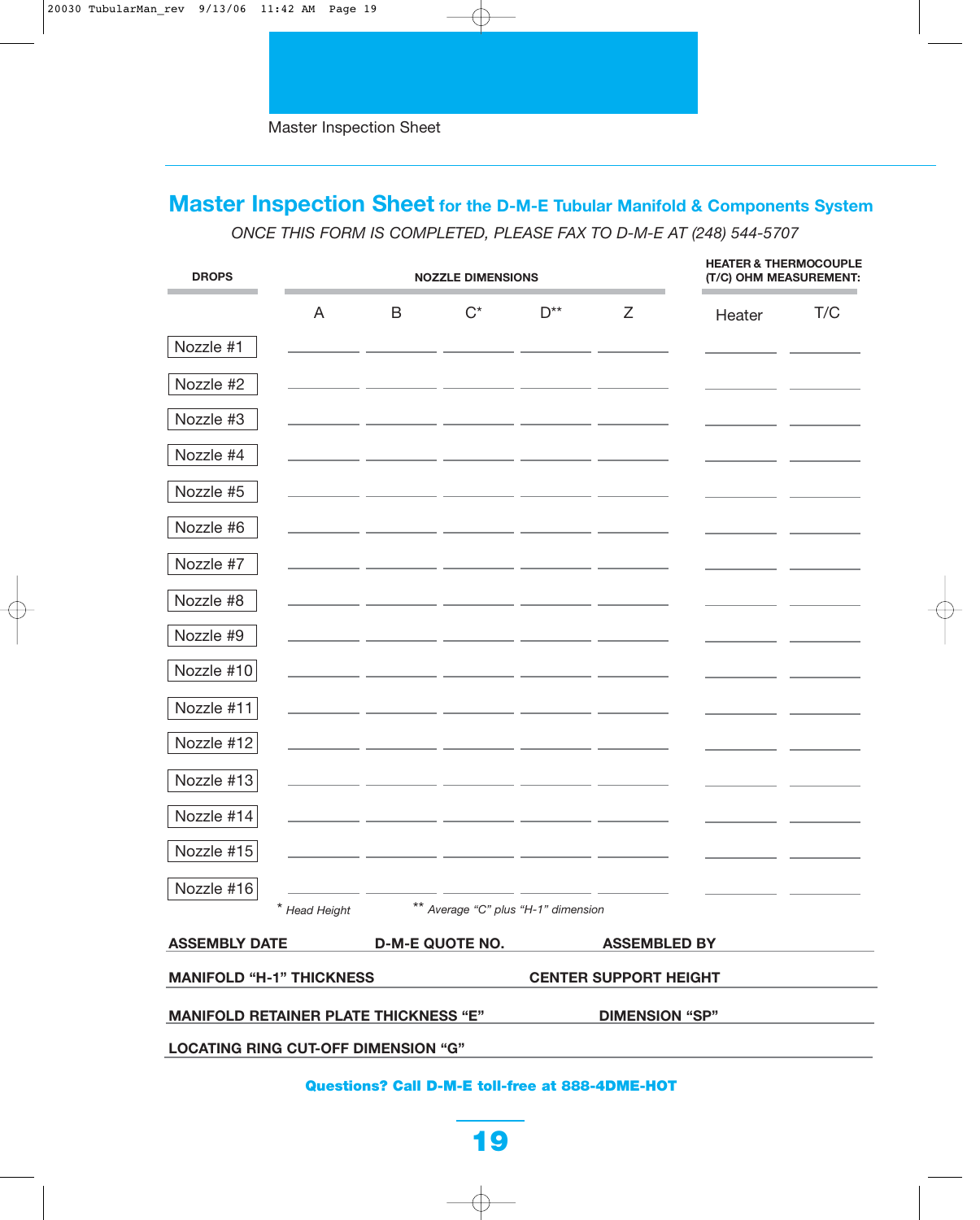# **Master Inspection Sheet for the D-M-E Tubular Manifold & Components System**

*ONCE THIS FORM IS COMPLETED, PLEASE FAX TO D-M-E AT (248) 544-5707*

| <b>DROPS</b>                                                          | <b>NOZZLE DIMENSIONS</b> |   |                                     |          | <b>HEATER &amp; THERMOCOUPLE</b><br>(T/C) OHM MEASUREMENT: |        |     |
|-----------------------------------------------------------------------|--------------------------|---|-------------------------------------|----------|------------------------------------------------------------|--------|-----|
| A                                                                     |                          | B | $C^*$                               | $D^{**}$ | Z                                                          | Heater | T/C |
| Nozzle #1                                                             |                          |   |                                     |          |                                                            |        |     |
| Nozzle #2                                                             |                          |   |                                     |          |                                                            |        |     |
| Nozzle #3                                                             |                          |   |                                     |          |                                                            |        |     |
| Nozzle #4                                                             |                          |   |                                     |          |                                                            |        |     |
| Nozzle #5                                                             |                          |   |                                     |          |                                                            |        |     |
| Nozzle #6                                                             |                          |   |                                     |          |                                                            |        |     |
| Nozzle #7                                                             |                          |   |                                     |          |                                                            |        |     |
| Nozzle #8                                                             |                          |   |                                     |          |                                                            |        |     |
| Nozzle #9                                                             |                          |   |                                     |          |                                                            |        |     |
| Nozzle #10                                                            |                          |   |                                     |          |                                                            |        |     |
| Nozzle #11                                                            |                          |   |                                     |          |                                                            |        |     |
| Nozzle #12                                                            |                          |   |                                     |          |                                                            |        |     |
| Nozzle #13                                                            |                          |   |                                     |          |                                                            |        |     |
| Nozzle #14                                                            |                          |   |                                     |          |                                                            |        |     |
| Nozzle #15                                                            |                          |   |                                     |          |                                                            |        |     |
| Nozzle #16                                                            |                          |   |                                     |          |                                                            |        |     |
| * Head Height                                                         |                          |   | ** Average "C" plus "H-1" dimension |          |                                                            |        |     |
| <b>ASSEMBLY DATE</b>                                                  |                          |   | <b>D-M-E QUOTE NO.</b>              |          | <b>ASSEMBLED BY</b>                                        |        |     |
| <b>MANIFOLD "H-1" THICKNESS</b><br><b>CENTER SUPPORT HEIGHT</b>       |                          |   |                                     |          |                                                            |        |     |
| <b>MANIFOLD RETAINER PLATE THICKNESS "E"</b><br><b>DIMENSION "SP"</b> |                          |   |                                     |          |                                                            |        |     |
| <b>LOCATING RING CUT-OFF DIMENSION "G"</b>                            |                          |   |                                     |          |                                                            |        |     |

### **Questions? Call D-M-E toll-free at 888-4DME-HOT**